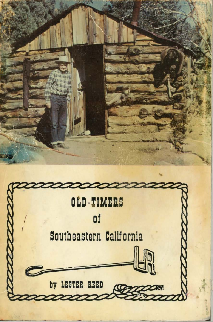

by LESTER REED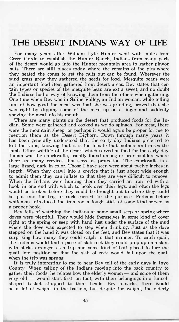## **THE DESERT INDIANS WAY OF LIFE**

For many years after **William** Lyle Hunter went with mules from Cerro Gordo to establish the Hunter Ranch, Indians from many parts of the desert would go into the Hunter mountain area to gather pinyon nuts. There are still places today where the remains of the pits where they heated the cones to get the nuts out can be found. Wherever the sand grass grew they gathered the seeds for food. Mesquite beans were an important food item gathered from desert areas. Bev states that certain types or species of the mesquite bean are extra sweet, and no doubt the Indians had a way of knowing them from the others when gathering. the Indians had a way of knowing them from the others when gathering. One time when Bev was in Saline Valley, an Indian woman, while telling him of how good the meal was that she was grinding, proved that she was right by dipping some of the meal up on a finger and suddenly shoving the meal into his mouth.

There are many plants on the desert that produced foods for the Indian. Some were gathered and cooked as we do spinach. For meat, there were the mountain sheep, or perhaps it would again be proper for me to mention them as the Desert Bighorn. Down through many years it has been generally understood that the early day Indians preferred to kill the rams, knowing that it is the female that mothers and raises the lamb. Other wildlife of the desert which served as food for the early day Indian was the chuckwalla, usually found among or near boulders where there are many crevices that serve as protection. The chuckwalla is a large lizard, dark in color. Those I have seen were about twelve inches in length. When they crawl into a crevice that is just about wide enough to admit them they can inflate so that they are very difficult to remove. When the Indians were hunting them they carried an iron rod with a hook in one end with which to hook over their legs, and often the legs would be broken before they could be brought out to where they could be put into the bag or sack carried for the purpose. Perhaps before whiteman introduced the iron rod a tough stick of some kind served as a proper hook.

Bev tells of watching the Indians at some small seep or spring where doves were plentiful. They would hide themselves in some kind of cover right at the spring or seep with hand just under the surface of the mud where the dove was expected to step when drinking. Just as the dove stepped on the hand it was closed on the feet, and Bev states that it was surprising how many they could catch in that manner. To catch quail, the Indians would find a piece of slab rock they could prop up on a slant with sticks arranged as a trip and some kind of bait placed to lure the quail into position so that the slab of rock would fall upon the quail when the trip was sprung.

It is truly interesting to me to hear Bev tell of the early days in Inyo County. When telling of the Indians moving into the back country to gather their foods, he relates how the elderly women  $-$  and some of them very  $old$  - would start first, on foot, with their belongings in a funnelshaped basket strapped to their heads. Bev remarks, there would be a lot of weight in the baskets, but despite the weight, the elderly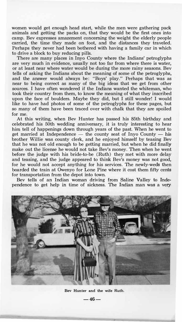**women would get enough head start, while the men were gathering pack animals and getting the packs on, that they would be the first ones into camp. Bev expresses amazement concerning the weight the elderly people carried, the time they made on foot, and the distances they traveled. Perhaps they never had been bothered with having a family car in which to drive a block to buy reducing pills.** 

**There are many places in Inyo County where the Indians' petroglyphs are very much in evidence, usually not too far from where there is water, or at least near where water would be during the more rainy seasons. Bev tells of asking the Indians about the meaning of some of the petroglyphs, and the answer would always be: "Boys' play." Perhaps that was as near to being correct as many of the big ideas that we get from other sources. I have often wondered** if **the Indians wanted the whiteman, who took their country from them, to know the meaning of what they inscribed upon the face of boulders. Maybe they did, but I still wonder! I would like to have had photos of some of the petroglyphs for these pages, but so many of them have been traced over with chalk that they are spoiled for me.** 

**At this writing, when Bev Hunter has passed his 85th birthday and celebrated his 50th wedding anniversary, it is truly interesting to hear**  him **tell of happenings down through years of the past. When he went to**   $get$  married at Independence  $-$  the county seat of Inyo County  $-$  his **brother Willie was county clerk, and he enjoyed himself by teasing Bev that he was not old enough to be getting married, but when he did finally make out the license he would not take Bev's money. Then when he went before the judge with his bride-to-be (Ruth) they met with more delay and teasing, and the judge appeared to think Bev's money was not good, for he would not accept anything for his services. The newly-weds then boarded the train at Owenyo for Lone Pine where it cost them fifty cents for transportation from the depot into town.** 

**Bev tells of an Indian woman driving from Saline Valley to Independence to get help in time of sickness. The Indian man was a very.** 



**Bev Hunter and the wife Ruth.** 

**-46-**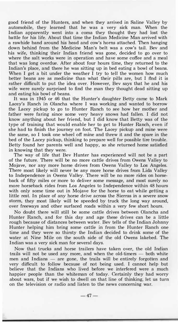good friend of the Hunters, and when they arrived in Saline Valley by automobile, they learned that he was a very sick man. When the Indian apparently went into a coma they thought they had lost the battle for his life. About that time the Indian Medicine Man arrived with a rawhide band around his head and cow's horns attached. Then hanging down behind from the Medicine Man's belt was a cow's tail. Bev and his wife, thinking their Indian friend was gone, decided to go over to where the salt works were in operation and have some coffee and a meal that was long overdue. After about four hours time, they returned to the Indian's place, and there he was sitting up in bed eating a bowl of beans. When I get a bit under the weather I try to tell the women how much better beans are as medicine than what their pills are, but I flnd it is rather difficult to put the idea over. However, Bev says that he and his wife were surely surprised to find the man they thought dead sitting up and eating his bowl of beans.

It was in 1945 or 46 that the Hunter's daughter Betty came to Mark Lacey's Ranch in Olancha where I was working and wanted to borrow the Lacey pickup to go to Hunter Ranch to see how her mother and father were faring since some very heavy snows had fallen. I did not know anything about her friend, but I did know that Betty was of the type of training that would enable her to get to Hunter Ranch, even if she had **to** finish the journey on foot. The Lacey pickup and mine were the same, so I took one wheel off mine and threw it and the spare in the bed of the Lacey pickup, thinking to prepare well for possible tire trouble. Betty found her parents well and happy, so she returned home satisfied in knowing that they were.

The way of life that Bev Hunter has experienced will not be a part of the future. There will be no more cattle drives from Owens Valley to Mojave, nor any more horse drives from Owens Valley to Los Angeles. There most likely will never be any more horse drives from Lida Valley **to** Independence in Owens Valley. There will be no more rides on horseback of fifty miles or more to deliver some message, and most surely no more horseback rides from Los Angeles to Independence within 48 hours with only some time out in Mojave for the horse to eat while getting a little rest. In place of any horse drive across the Sierras in a severe snow storm, they most likely will be speeded by truck the long way around, over freeways and other surfaced roads within a very few short hours.

No doubt there will still be some cattle drives between Olancha and Hunter Ranch, and for this day and age these drives can be a little rough because of distances between water. Bev tells of the Indian Johnny Hunter helping him bring some cattle in from the Hunter Ranch one time and they were so thirsty the Indian decided to drink some of the water at Nine Mile on the south side of the old Owens lakebed. The Indian was a very sick man for several days.

Now that trucks and horse trailers have taken over, the old Indian trails will not be used any more, and when the old-timers  $-$  both white men and Indians  $-$  are gone, the trails will be entirely forgotten and very difficult to follow because of not being used. I cannot help but believe that the Indians who lived before we interfered were a much happier people than the whiteman of today. Certainly they had worry about wars, but if we wish to dwell on that line of thinking, let us turn on the television or radio and listen to the news concerning war.